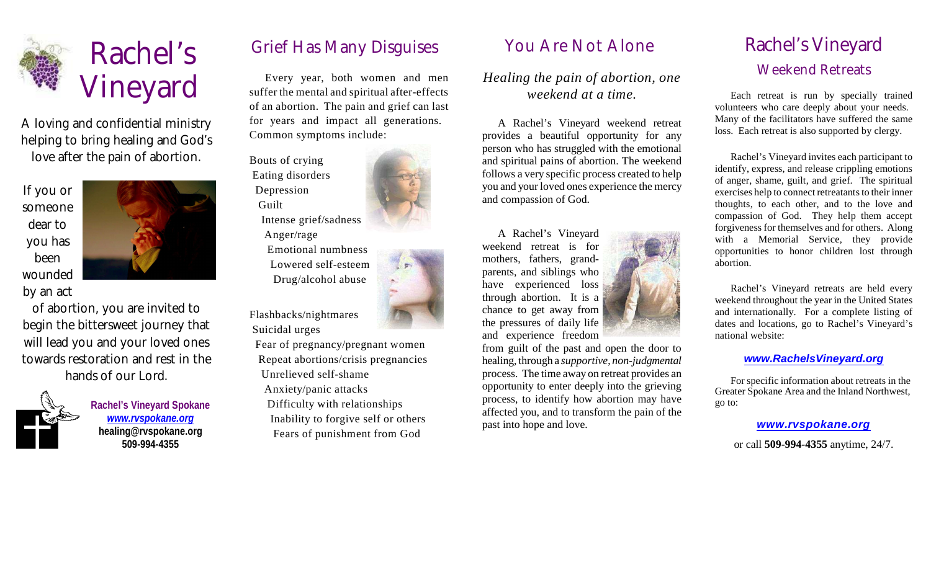

A loving and confidential ministry helping to bring healing and God's love after the pain of abortion.

If you or someone dear to you has been wounded by an act



of abortion, you are invited to begin the bittersweet journey that will lead you and your loved ones towards restoration and rest in the hands of our Lord.



**Rachel's Vineyard Spokane** *[www.rvspokane.org](http://www.rvspokane.org)* **healing@rvspokane.org 509-994-4355**

# Rachel's Grief Has Many Disguises

Every year, both women and men suffer the mental and spiritual after-effects of an abortion. The pain and grief can last for years and impact all generations. Common symptoms include:

Bouts of crying Eating disorders Depression Guilt Intense grief/sadness Anger/rage Emotional numbness Lowered self-esteem

Drug/alcohol abuse

Flashbacks/nightmares Suicidal urges

Fear of pregnancy/pregnant women Repeat abortions/crisis pregnancies Unrelieved self-shame Anxiety/panic attacks Difficulty with relationships Inability to forgive self or others

Fears of punishment from God

### You Are Not Alone

*Healing the pain of abortion, one weekend at a time.*

A Rachel's Vineyard weekend retreat provides a beautiful opportunity for any person who has struggled with the emotional and spiritual pains of abortion. The weekend follows a very specific process created to help you and your loved ones experience the mercy and compassion of God.

A Rachel's Vineyard weekend retreat is for mothers, fathers, grandparents, and siblings who have experienced loss through abortion. It is a chance to get away from the pressures of daily life and experience freedom

from guilt of the past and open the door to healing, through a *supportive*, *non-judgmental* process. The time away on retreat provides an opportunity to enter deeply into the grieving process, to identify how abortion may have affected you, and to transform the pain of the past into hope and love.

## Rachel's Vineyard Weekend Retreats

Each retreat is run by specially trained volunteers who care deeply about your needs. Many of the facilitators have suffered the same loss. Each retreat is also supported by clergy.

Rachel's Vineyard invites each participant to identify, express, and release crippling emotions of anger, shame, guilt, and grief. The spiritual exercises help to connect retreatants to their inner thoughts, to each other, and to the love and compassion of God. They help them accept forgiveness for themselves and for others. Along with a Memorial Service, they provide opportunities to honor children lost through abortion.

Rachel's Vineyard retreats are held every weekend throughout the year in the United States and internationally. For a complete listing of dates and locations, go to Rachel's Vineyard's national website:

#### *[www.RachelsVineyard.org](http://www.RachelsVineyard.org)*

For specific information about retreats in the Greater Spokane Area and the Inland Northwest, go to:

#### *[www.rvspokane.org](http://www.rvspokane.org)*

or call **509-994-4355** anytime, 24/7.